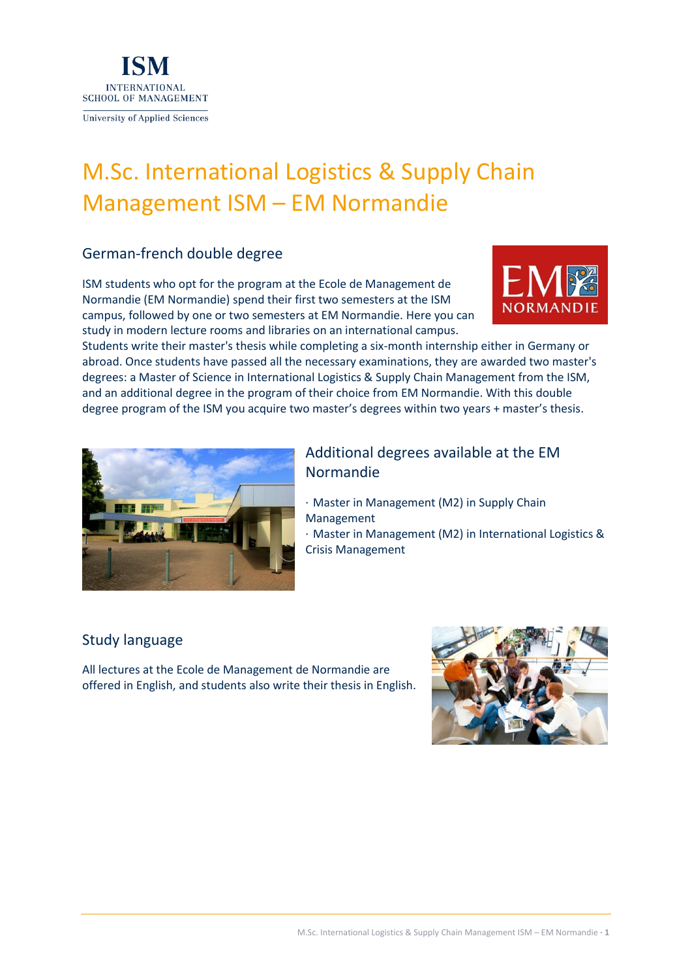

# M.Sc. International Logistics & Supply Chain Management ISM – EM Normandie

# German-french double degree

ISM students who opt for the program at the Ecole de Management de Normandie (EM Normandie) spend their first two semesters at the ISM campus, followed by one or two semesters at EM Normandie. Here you can study in modern lecture rooms and libraries on an international campus.



Students write their master's thesis while completing a six-month internship either in Germany or abroad. Once students have passed all the necessary examinations, they are awarded two master's degrees: a Master of Science in International Logistics & Supply Chain Management from the ISM, and an additional degree in the program of their choice from EM Normandie. With this double degree program of the ISM you acquire two master's degrees within two years + master's thesis.



# Additional degrees available at the EM Normandie

- · Master in Management (M2) in Supply Chain Management
- · Master in Management (M2) in International Logistics & Crisis Management

### Study language

All lectures at the Ecole de Management de Normandie are offered in English, and students also write their thesis in English.